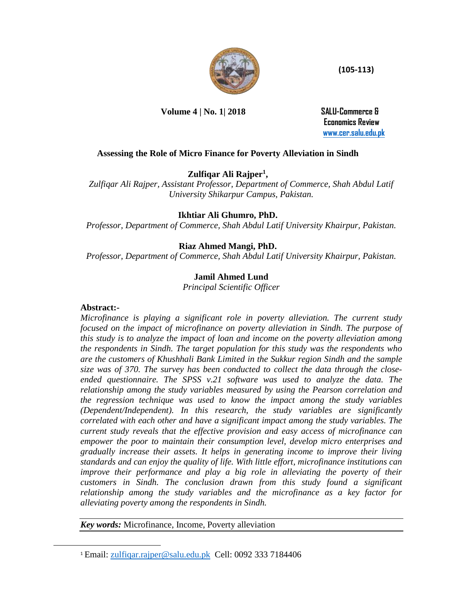

 **(105-113)**

**Volume 4 | No. 1| 2018 SALU-Commerce &** 

 **Economics Review [www.cer.salu.edu.pk](http://www.cer.salu.edu.pk/)**

# **Assessing the Role of Micro Finance for Poverty Alleviation in Sindh**

**Zulfiqar Ali Rajper<sup>1</sup> ,** 

*Zulfiqar Ali Rajper, Assistant Professor, Department of Commerce, Shah Abdul Latif University Shikarpur Campus, Pakistan.*

# **Ikhtiar Ali Ghumro, PhD.**

*Professor, Department of Commerce, Shah Abdul Latif University Khairpur, Pakistan.*

# **Riaz Ahmed Mangi, PhD.**

*Professor, Department of Commerce, Shah Abdul Latif University Khairpur, Pakistan.*

# **Jamil Ahmed Lund**

*Principal Scientific Officer*

#### **Abstract:-**

l

*Microfinance is playing a significant role in poverty alleviation. The current study focused on the impact of microfinance on poverty alleviation in Sindh. The purpose of this study is to analyze the impact of loan and income on the poverty alleviation among the respondents in Sindh. The target population for this study was the respondents who are the customers of Khushhali Bank Limited in the Sukkur region Sindh and the sample size was of 370. The survey has been conducted to collect the data through the closeended questionnaire. The SPSS v.21 software was used to analyze the data. The relationship among the study variables measured by using the Pearson correlation and the regression technique was used to know the impact among the study variables (Dependent/Independent). In this research, the study variables are significantly correlated with each other and have a significant impact among the study variables. The current study reveals that the effective provision and easy access of microfinance can empower the poor to maintain their consumption level, develop micro enterprises and gradually increase their assets. It helps in generating income to improve their living standards and can enjoy the quality of life. With little effort, microfinance institutions can improve their performance and play a big role in alleviating the poverty of their customers in Sindh. The conclusion drawn from this study found a significant relationship among the study variables and the microfinance as a key factor for alleviating poverty among the respondents in Sindh.*

*Key words:* Microfinance, Income, Poverty alleviation

<sup>1</sup> Email: [zulfiqar.rajper@salu.edu.pk](mailto:zulfiqar.rajper@salu.edu.pk) Cell: 0092 333 7184406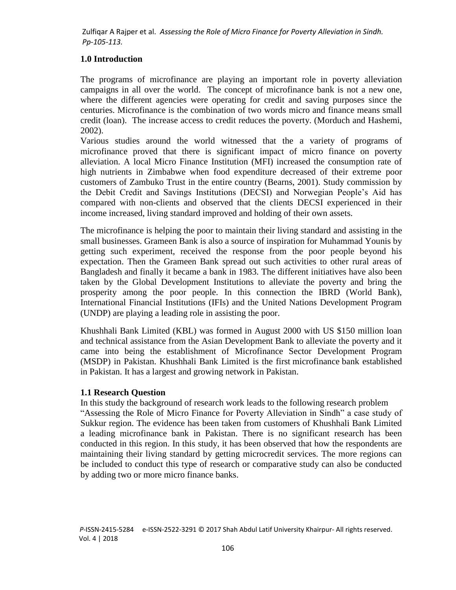## **1.0 Introduction**

The programs of microfinance are playing an important role in poverty alleviation campaigns in all over the world. The concept of microfinance bank is not a new one, where the different agencies were operating for credit and saving purposes since the centuries. Microfinance is the combination of two words micro and finance means small credit (loan). The increase access to credit reduces the poverty. (Morduch and Hashemi, 2002).

Various studies around the world witnessed that the a variety of programs of microfinance proved that there is significant impact of micro finance on poverty alleviation. A local Micro Finance Institution (MFI) increased the consumption rate of high nutrients in Zimbabwe when food expenditure decreased of their extreme poor customers of Zambuko Trust in the entire country (Bearns, 2001). Study commission by the Debit Credit and Savings Institutions (DECSI) and Norwegian People's Aid has compared with non-clients and observed that the clients DECSI experienced in their income increased, living standard improved and holding of their own assets.

The microfinance is helping the poor to maintain their living standard and assisting in the small businesses. Grameen Bank is also a source of inspiration for Muhammad Younis by getting such experiment, received the response from the poor people beyond his expectation. Then the Grameen Bank spread out such activities to other rural areas of Bangladesh and finally it became a bank in 1983. The different initiatives have also been taken by the Global Development Institutions to alleviate the poverty and bring the prosperity among the poor people. In this connection the IBRD (World Bank), International Financial Institutions (IFIs) and the United Nations Development Program (UNDP) are playing a leading role in assisting the poor.

Khushhali Bank Limited (KBL) was formed in August 2000 with US \$150 million loan and technical assistance from the Asian Development Bank to alleviate the poverty and it came into being the establishment of Microfinance Sector Development Program (MSDP) in Pakistan. Khushhali Bank Limited is the first microfinance bank established in Pakistan. It has a largest and growing network in Pakistan.

#### **1.1 Research Question**

In this study the background of research work leads to the following research problem "Assessing the Role of Micro Finance for Poverty Alleviation in Sindh" a case study of Sukkur region. The evidence has been taken from customers of Khushhali Bank Limited a leading microfinance bank in Pakistan. There is no significant research has been conducted in this region. In this study, it has been observed that how the respondents are maintaining their living standard by getting microcredit services. The more regions can be included to conduct this type of research or comparative study can also be conducted by adding two or more micro finance banks.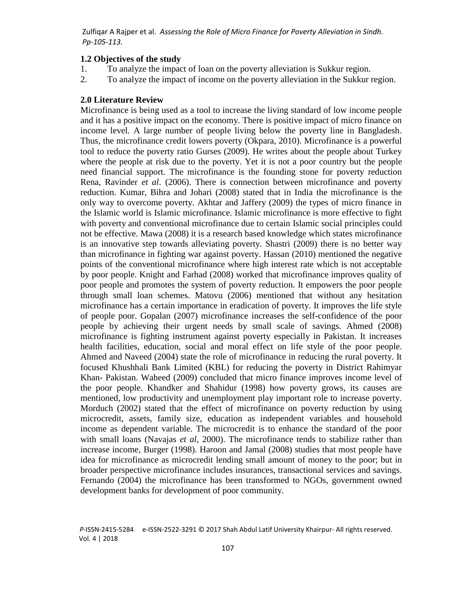#### **1.2 Objectives of the study**

- 1. To analyze the impact of loan on the poverty alleviation is Sukkur region.
- 2. To analyze the impact of income on the poverty alleviation in the Sukkur region.

#### **2.0 Literature Review**

Microfinance is being used as a tool to increase the living standard of low income people and it has a positive impact on the economy. There is positive impact of micro finance on income level. A large number of people living below the poverty line in Bangladesh. Thus, the microfinance credit lowers poverty (Okpara, 2010). Microfinance is a powerful tool to reduce the poverty ratio Gurses (2009). He writes about the people about Turkey where the people at risk due to the poverty. Yet it is not a poor country but the people need financial support. The microfinance is the founding stone for poverty reduction Rena, Ravinder *et al*. (2006). There is connection between microfinance and poverty reduction. Kumar, Bihra and Johari (2008) stated that in India the microfinance is the only way to overcome poverty. Akhtar and Jaffery (2009) the types of micro finance in the Islamic world is Islamic microfinance. Islamic microfinance is more effective to fight with poverty and conventional microfinance due to certain Islamic social principles could not be effective. Mawa (2008) it is a research based knowledge which states microfinance is an innovative step towards alleviating poverty. Shastri (2009) there is no better way than microfinance in fighting war against poverty. Hassan (2010) mentioned the negative points of the conventional microfinance where high interest rate which is not acceptable by poor people. Knight and Farhad (2008) worked that microfinance improves quality of poor people and promotes the system of poverty reduction. It empowers the poor people through small loan schemes. Matovu (2006) mentioned that without any hesitation microfinance has a certain importance in eradication of poverty. It improves the life style of people poor. Gopalan (2007) microfinance increases the self-confidence of the poor people by achieving their urgent needs by small scale of savings. Ahmed (2008) microfinance is fighting instrument against poverty especially in Pakistan. It increases health facilities, education, social and moral effect on life style of the poor people. Ahmed and Naveed (2004) state the role of microfinance in reducing the rural poverty. It focused Khushhali Bank Limited (KBL) for reducing the poverty in District Rahimyar Khan- Pakistan. Waheed (2009) concluded that micro finance improves income level of the poor people. Khandker and Shahidur (1998) how poverty grows, its causes are mentioned, low productivity and unemployment play important role to increase poverty. Morduch (2002) stated that the effect of microfinance on poverty reduction by using microcredit, assets, family size, education as independent variables and household income as dependent variable. The microcredit is to enhance the standard of the poor with small loans (Navajas *et al*, 2000). The microfinance tends to stabilize rather than increase income, Burger (1998). Haroon and Jamal (2008) studies that most people have idea for microfinance as microcredit lending small amount of money to the poor; but in broader perspective microfinance includes insurances, transactional services and savings. Fernando (2004) the microfinance has been transformed to NGOs, government owned development banks for development of poor community.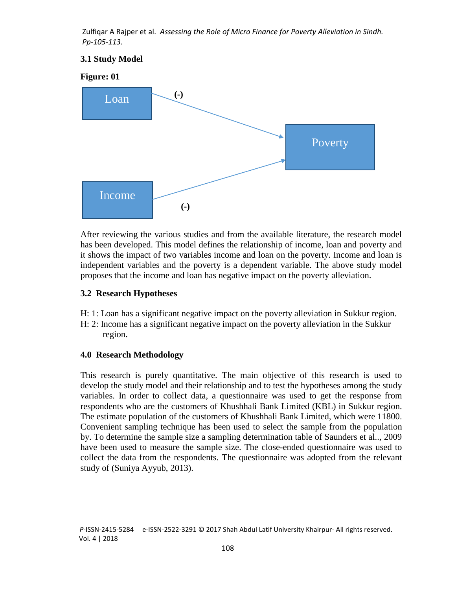## **3.1 Study Model**



After reviewing the various studies and from the available literature, the research model has been developed. This model defines the relationship of income, loan and poverty and it shows the impact of two variables income and loan on the poverty. Income and loan is independent variables and the poverty is a dependent variable. The above study model proposes that the income and loan has negative impact on the poverty alleviation.

#### **3.2 Research Hypotheses**

- H: 1: Loan has a significant negative impact on the poverty alleviation in Sukkur region.
- H: 2: Income has a significant negative impact on the poverty alleviation in the Sukkur region.

#### **4.0 Research Methodology**

This research is purely quantitative. The main objective of this research is used to develop the study model and their relationship and to test the hypotheses among the study variables. In order to collect data, a questionnaire was used to get the response from respondents who are the customers of Khushhali Bank Limited (KBL) in Sukkur region. The estimate population of the customers of Khushhali Bank Limited, which were 11800. Convenient sampling technique has been used to select the sample from the population by. To determine the sample size a sampling determination table of Saunders et al.., 2009 have been used to measure the sample size. The close-ended questionnaire was used to collect the data from the respondents. The questionnaire was adopted from the relevant study of (Suniya Ayyub, 2013).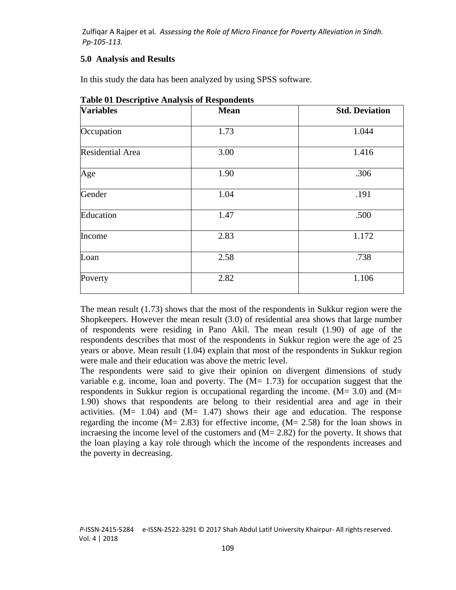#### **5.0 Analysis and Results**

In this study the data has been analyzed by using SPSS software.

| <b>Variables</b> | <b>Mean</b> | <b>Std. Deviation</b> |  |
|------------------|-------------|-----------------------|--|
| Occupation       | 1.73        | 1.044                 |  |
| Residential Area | 3.00        | 1.416                 |  |
| Age              | 1.90        | .306                  |  |
| Gender           | 1.04        | .191                  |  |
| Education        | 1.47        | .500                  |  |
| Income           | 2.83        | 1.172                 |  |
| Loan             | 2.58        | .738                  |  |
| Poverty          | 2.82        | 1.106                 |  |
|                  |             |                       |  |

**Table 01 Descriptive Analysis of Respondents**

The mean result (1.73) shows that the most of the respondents in Sukkur region were the Shopkeepers. However the mean result (3.0) of residential area shows that large number of respondents were residing in Pano Akil. The mean result (1.90) of age of the respondents describes that most of the respondents in Sukkur region were the age of 25 years or above. Mean result (1.04) explain that most of the respondents in Sukkur region were male and their education was above the metric level.

The respondents were said to give their opinion on divergent dimensions of study variable e.g. income, loan and poverty. The  $(M= 1.73)$  for occupation suggest that the respondents in Sukkur region is occupational regarding the income.  $(M= 3.0)$  and  $(M=$ 1.90) shows that respondents are belong to their residential area and age in their activities.  $(M= 1.04)$  and  $(M= 1.47)$  shows their age and education. The response regarding the income  $(M = 2.83)$  for effective income,  $(M = 2.58)$  for the loan shows in incraesing the income level of the customers and (M= 2.82) for the poverty. It shows that the loan playing a kay role through which the income of the respondents increases and the poverty in decreasing.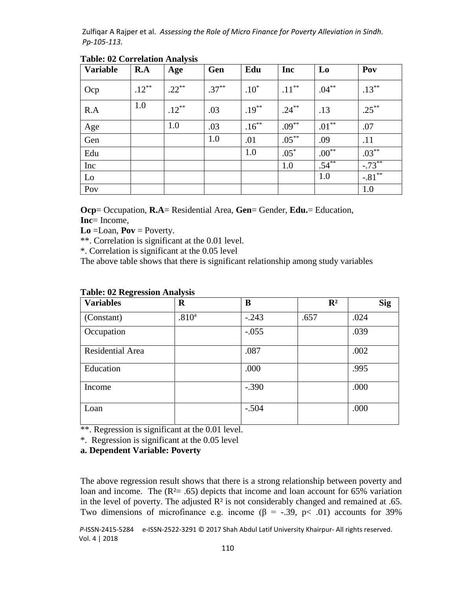| <b>Variable</b> | R.A      | Age      | Gen      | Edu      | Inc      | L <sub>0</sub> | Pov       |
|-----------------|----------|----------|----------|----------|----------|----------------|-----------|
| Ocp             | $.12***$ | $.22***$ | $.37***$ | $.10*$   | $.11***$ | $.04***$       | $.13***$  |
| R.A             | 1.0      | $.12***$ | .03      | $.19***$ | $.24***$ | .13            | $.25***$  |
| Age             |          | 1.0      | .03      | $.16***$ | $.09***$ | $.01***$       | .07       |
| Gen             |          |          | 1.0      | .01      | $.05***$ | .09            | .11       |
| Edu             |          |          |          | 1.0      | $.05*$   | $.00***$       | $.03***$  |
| Inc             |          |          |          |          | 1.0      | $.54***$       | $-.73***$ |
| Lo              |          |          |          |          |          | 1.0            | $-.81***$ |
| Pov             |          |          |          |          |          |                | 1.0       |

**Table: 02 Correlation Analysis**

**Ocp**= Occupation, **R.A**= Residential Area, **Gen**= Gender, **Edu.**= Education, **Inc**= Income,

**Lo** =Loan, **Pov** = Poverty.

\*\*. Correlation is significant at the 0.01 level.

\*. Correlation is significant at the 0.05 level

The above table shows that there is significant relationship among study variables

| ັ<br><b>Variables</b> | $\tilde{\phantom{a}}$<br>$\bf{R}$ | B       | $\mathbf{R}^2$ | <b>Sig</b> |
|-----------------------|-----------------------------------|---------|----------------|------------|
| (Constant)            | .810 <sup>a</sup>                 | $-.243$ | .657           | .024       |
| Occupation            |                                   | $-.055$ |                | .039       |
| Residential Area      |                                   | .087    |                | .002       |
| Education             |                                   | .000    |                | .995       |
| Income                |                                   | $-.390$ |                | .000       |
| Loan                  |                                   | $-.504$ |                | .000       |

#### **Table: 02 Regression Analysis**

\*\*. Regression is significant at the 0.01 level.

\*. Regression is significant at the 0.05 level

#### **a. Dependent Variable: Poverty**

The above regression result shows that there is a strong relationship between poverty and loan and income. The  $(R<sup>2</sup>= .65)$  depicts that income and loan account for 65% variation in the level of poverty. The adjusted  $\mathbb{R}^2$  is not considerably changed and remained at .65. Two dimensions of microfinance e.g. income ( $\beta$  = -.39, p< .01) accounts for 39%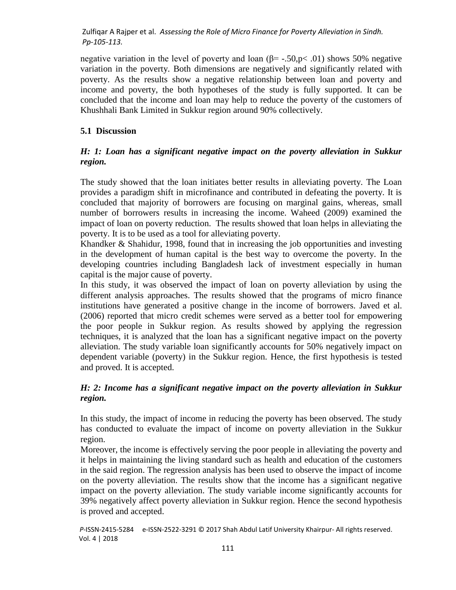negative variation in the level of poverty and loan ( $\beta$ = -.50,p< .01) shows 50% negative variation in the poverty. Both dimensions are negatively and significantly related with poverty. As the results show a negative relationship between loan and poverty and income and poverty, the both hypotheses of the study is fully supported. It can be concluded that the income and loan may help to reduce the poverty of the customers of Khushhali Bank Limited in Sukkur region around 90% collectively.

#### **5.1 Discussion**

## *H: 1: Loan has a significant negative impact on the poverty alleviation in Sukkur region.*

The study showed that the loan initiates better results in alleviating poverty. The Loan provides a paradigm shift in microfinance and contributed in defeating the poverty. It is concluded that majority of borrowers are focusing on marginal gains, whereas, small number of borrowers results in increasing the income. Waheed (2009) examined the impact of loan on poverty reduction. The results showed that loan helps in alleviating the poverty. It is to be used as a tool for alleviating poverty.

Khandker & Shahidur, 1998, found that in increasing the job opportunities and investing in the development of human capital is the best way to overcome the poverty. In the developing countries including Bangladesh lack of investment especially in human capital is the major cause of poverty.

In this study, it was observed the impact of loan on poverty alleviation by using the different analysis approaches. The results showed that the programs of micro finance institutions have generated a positive change in the income of borrowers. Javed et al. (2006) reported that micro credit schemes were served as a better tool for empowering the poor people in Sukkur region. As results showed by applying the regression techniques, it is analyzed that the loan has a significant negative impact on the poverty alleviation. The study variable loan significantly accounts for 50% negatively impact on dependent variable (poverty) in the Sukkur region. Hence, the first hypothesis is tested and proved. It is accepted.

#### *H: 2: Income has a significant negative impact on the poverty alleviation in Sukkur region.*

In this study, the impact of income in reducing the poverty has been observed. The study has conducted to evaluate the impact of income on poverty alleviation in the Sukkur region.

Moreover, the income is effectively serving the poor people in alleviating the poverty and it helps in maintaining the living standard such as health and education of the customers in the said region. The regression analysis has been used to observe the impact of income on the poverty alleviation. The results show that the income has a significant negative impact on the poverty alleviation. The study variable income significantly accounts for 39% negatively affect poverty alleviation in Sukkur region. Hence the second hypothesis is proved and accepted.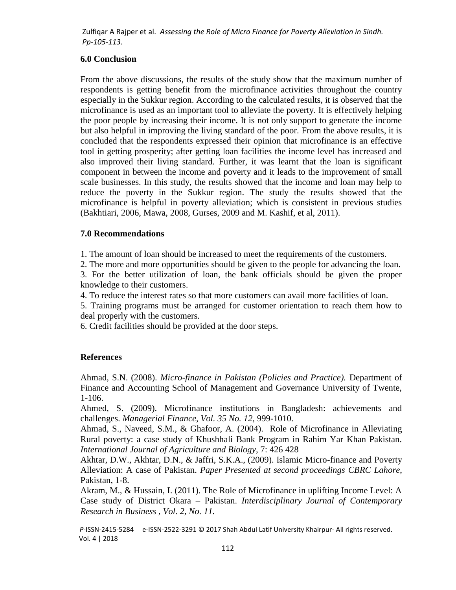## **6.0 Conclusion**

From the above discussions, the results of the study show that the maximum number of respondents is getting benefit from the microfinance activities throughout the country especially in the Sukkur region. According to the calculated results, it is observed that the microfinance is used as an important tool to alleviate the poverty. It is effectively helping the poor people by increasing their income. It is not only support to generate the income but also helpful in improving the living standard of the poor. From the above results, it is concluded that the respondents expressed their opinion that microfinance is an effective tool in getting prosperity; after getting loan facilities the income level has increased and also improved their living standard. Further, it was learnt that the loan is significant component in between the income and poverty and it leads to the improvement of small scale businesses. In this study, the results showed that the income and loan may help to reduce the poverty in the Sukkur region. The study the results showed that the microfinance is helpful in poverty alleviation; which is consistent in previous studies (Bakhtiari, 2006, Mawa, 2008, Gurses, 2009 and M. Kashif, et al, 2011).

## **7.0 Recommendations**

1. The amount of loan should be increased to meet the requirements of the customers.

2. The more and more opportunities should be given to the people for advancing the loan.

3. For the better utilization of loan, the bank officials should be given the proper knowledge to their customers.

4. To reduce the interest rates so that more customers can avail more facilities of loan.

5. Training programs must be arranged for customer orientation to reach them how to deal properly with the customers.

6. Credit facilities should be provided at the door steps.

# **References**

Ahmad, S.N. (2008). *Micro-finance in Pakistan (Policies and Practice).* Department of Finance and Accounting School of Management and Governance University of Twente, 1-106.

Ahmed, S. (2009). Microfinance institutions in Bangladesh: achievements and challenges. *Managerial Finance, Vol. 35 No. 12,* 999-1010.

Ahmad, S., Naveed, S.M., & Ghafoor, A. (2004). Role of Microfinance in Alleviating Rural poverty: a case study of Khushhali Bank Program in Rahim Yar Khan Pakistan. *International Journal of Agriculture and Biology*, 7: 426 428

Akhtar, D.W., Akhtar, D.N., & Jaffri, S.K.A., (2009). Islamic Micro-finance and Poverty Alleviation: A case of Pakistan. *Paper Presented at second proceedings CBRC Lahore*, Pakistan, 1-8.

Akram, M., & Hussain, I. (2011). The Role of Microfinance in uplifting Income Level: A Case study of District Okara – Pakistan. *Interdisciplinary Journal of Contemporary Research in Business , Vol. 2, No. 11.*